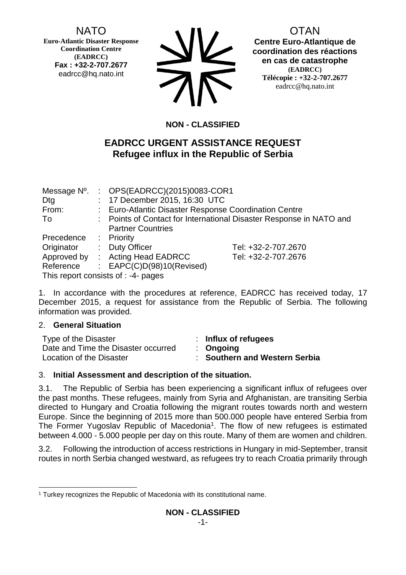# NATO

**Euro-Atlantic Disaster Response Coordination Centre (EADRCC) Fax : +32-2-707.2677** eadrcc@hq.nato.int



OTAN **Centre Euro-Atlantique de coordination des réactions en cas de catastrophe (EADRCC) Télécopie : +32-2-707.2677** eadrcc@hq.nato.int

# **NON - CLASSIFIED**

# **EADRCC URGENT ASSISTANCE REQUEST Refugee influx in the Republic of Serbia**

|            | Message Nº. : OPS(EADRCC)(2015)0083-COR1              |                                                                     |
|------------|-------------------------------------------------------|---------------------------------------------------------------------|
| Dtg        | : 17 December 2015, 16:30 UTC                         |                                                                     |
| From:      | : Euro-Atlantic Disaster Response Coordination Centre |                                                                     |
| To         |                                                       | : Points of Contact for International Disaster Response in NATO and |
|            | <b>Partner Countries</b>                              |                                                                     |
| Precedence | $:$ Priority                                          |                                                                     |
| Originator | : Duty Officer                                        | Tel: +32-2-707.2670                                                 |
|            | Approved by : Acting Head EADRCC                      | Tel: +32-2-707.2676                                                 |
| Reference  | : $EAPC(C)D(98)10(Revised)$                           |                                                                     |
|            | This report consists of : -4- pages                   |                                                                     |

1. In accordance with the procedures at reference, EADRCC has received today, 17 December 2015, a request for assistance from the Republic of Serbia. The following information was provided.

#### 2. **General Situation**

| Type of the Disaster                | : Influx of refugees          |
|-------------------------------------|-------------------------------|
| Date and Time the Disaster occurred | $\therefore$ Ongoing          |
| Location of the Disaster            | : Southern and Western Serbia |

## 3. **Initial Assessment and description of the situation.**

3.1. The Republic of Serbia has been experiencing a significant influx of refugees over the past months. These refugees, mainly from Syria and Afghanistan, are transiting Serbia directed to Hungary and Croatia following the migrant routes towards north and western Europe. Since the beginning of 2015 more than 500.000 people have entered Serbia from The Former Yugoslav Republic of Macedonia<sup>1</sup>. The flow of new refugees is estimated between 4.000 - 5.000 people per day on this route. Many of them are women and children.

3.2. Following the introduction of access restrictions in Hungary in mid-September, transit routes in north Serbia changed westward, as refugees try to reach Croatia primarily through

<sup>-</sup><sup>1</sup> Turkey recognizes the Republic of Macedonia with its constitutional name.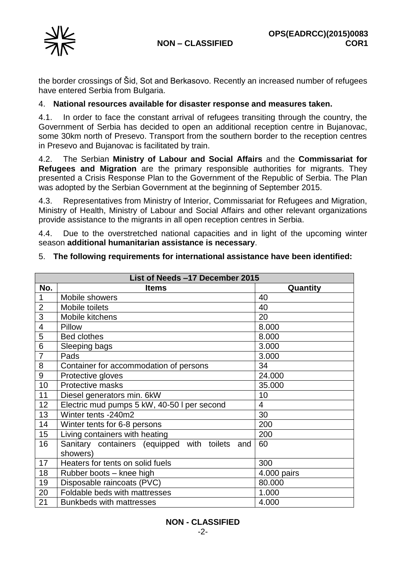

the border crossings of Šid, Sot and Berkasovo. Recently an increased number of refugees have entered Serbia from Bulgaria.

#### 4. **National resources available for disaster response and measures taken.**

4.1. In order to face the constant arrival of refugees transiting through the country, the Government of Serbia has decided to open an additional reception centre in Bujanovac, some 30km north of Presevo. Transport from the southern border to the reception centres in Presevo and Bujanovac is facilitated by train.

4.2. The Serbian **Ministry of Labour and Social Affairs** and the **Commissariat for Refugees and Migration** are the primary responsible authorities for migrants. They presented a Crisis Response Plan to the Government of the Republic of Serbia. The Plan was adopted by the Serbian Government at the beginning of September 2015.

4.3. Representatives from Ministry of Interior, Commissariat for Refugees and Migration, Ministry of Health, Ministry of Labour and Social Affairs and other relevant organizations provide assistance to the migrants in all open reception centres in Serbia.

4.4. Due to the overstretched national capacities and in light of the upcoming winter season **additional humanitarian assistance is necessary**.

| List of Needs -17 December 2015 |                                                               |                |
|---------------------------------|---------------------------------------------------------------|----------------|
| No.                             | <b>Items</b>                                                  | Quantity       |
| $\mathbf 1$                     | Mobile showers                                                | 40             |
| $\overline{2}$                  | Mobile toilets                                                | 40             |
| 3                               | Mobile kitchens                                               | 20             |
| 4                               | Pillow                                                        | 8.000          |
| 5                               | <b>Bed clothes</b>                                            | 8.000          |
| 6                               | Sleeping bags                                                 | 3.000          |
| $\overline{7}$                  | Pads                                                          | 3.000          |
| 8                               | Container for accommodation of persons                        | 34             |
| 9                               | Protective gloves                                             | 24.000         |
| 10                              | Protective masks                                              | 35.000         |
| 11                              | Diesel generators min. 6kW                                    | 10             |
| 12                              | Electric mud pumps 5 kW, 40-50 I per second                   | $\overline{4}$ |
| 13                              | Winter tents -240m2                                           | 30             |
| 14                              | Winter tents for 6-8 persons                                  | 200            |
| 15                              | Living containers with heating                                | 200            |
| 16                              | Sanitary containers (equipped with toilets<br>and<br>showers) | 60             |
| 17                              | Heaters for tents on solid fuels                              | 300            |
| 18                              | Rubber boots - knee high                                      | 4.000 pairs    |
| 19                              | Disposable raincoats (PVC)                                    | 80.000         |
| 20                              | Foldable beds with mattresses<br>1.000                        |                |
| 21                              | <b>Bunkbeds with mattresses</b>                               | 4.000          |

#### 5. **The following requirements for international assistance have been identified:**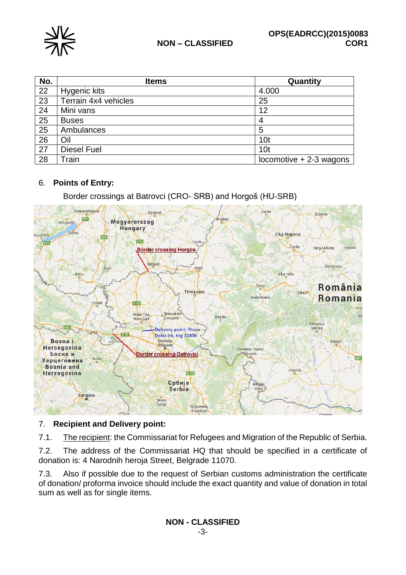

| No. | <b>Items</b>         | Quantity                  |
|-----|----------------------|---------------------------|
| 22  | Hygenic kits         | 4.000                     |
| 23  | Terrain 4x4 vehicles | 25                        |
| 24  | Mini vans            | 12                        |
| 25  | <b>Buses</b>         | 4                         |
| 25  | Ambulances           | 5                         |
| 26  | Oil                  | 10 <sub>t</sub>           |
| 27  | <b>Diesel Fuel</b>   | 10 <sub>t</sub>           |
| 28  | Train                | $locomotive + 2-3$ wagons |

## 6. **Points of Entry:**

Border crossings at Batrovci (CRO- SRB) and Horgoš (HU-SRB)



## 7. **Recipient and Delivery point:**

7.1. The recipient: the Commissariat for Refugees and Migration of the Republic of Serbia.

7.2. The address of the Commissariat HQ that should be specified in a certificate of donation is: 4 Narodnih heroja Street, Belgrade 11070.

7.3. Also if possible due to the request of Serbian customs administration the certificate of donation/ proforma invoice should include the exact quantity and value of donation in total sum as well as for single items.